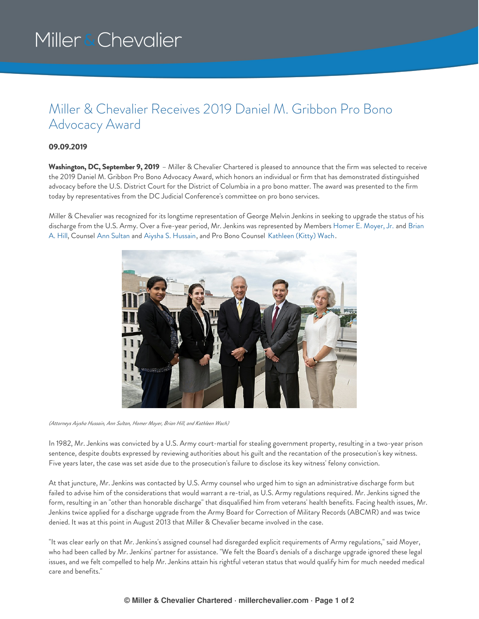# Miller & Chevalier

### Miller & Chevalier Receives 2019 Daniel M. Gribbon Pro Bono Advocacy Award

### **09.09.2019**

**Washington, DC, September 9, 2019** – Miller & Chevalier Chartered is pleased to announce that the firm was selected to receive the 2019 Daniel M. Gribbon Pro Bono Advocacy Award, which honors an individual or firm that has demonstrated distinguished advocacy before the U.S. District Court for the District of Columbia in a pro bono matter. The award was presented to the firm today by representatives from the DC Judicial Conference's committee on pro bono services.

Miller & Chevalier was recognized for its longtime representation of George Melvin Jenkins in seeking to upgrade the status of his discharge from the U.S. Army. Over a five-year period, Mr. Jenkins was [represented](https://www.millerchevalier.com/node/9034) by Members Homer E. [Moyer,](https://www.millerchevalier.com/node/9064) Jr. and Brian A. Hill, Counsel Ann [Sultan](https://www.millerchevalier.com/node/9023) and Aiysha S. [Hussain](https://www.millerchevalier.com/node/9009), and Pro Bono Counsel [Kathleen](https://www.millerchevalier.com/node/9095) (Kitty) Wach.



*(Attorneys Aiysha Hussain, Ann Sultan, Homer Moyer, Brian Hill, and Kathleen Wach)*

In 1982, Mr. Jenkins was convicted by a U.S. Army court-martial for stealing government property, resulting in a two-year prison sentence, despite doubts expressed by reviewing authorities about his guilt and the recantation of the prosecution's key witness. Five years later, the case was set aside due to the prosecution's failure to disclose its key witness' felony conviction.

At that juncture, Mr. Jenkins was contacted by U.S. Army counsel who urged him to sign an administrative discharge form but failed to advise him of the considerations that would warrant a re-trial, as U.S. Army regulations required. Mr. Jenkins signed the form, resulting in an "other than honorable discharge" that disqualified him from veterans' health benefits. Facing health issues, Mr. Jenkins twice applied for a discharge upgrade from the Army Board for Correction of Military Records (ABCMR) and was twice denied. It was at this point in August 2013 that Miller & Chevalier became involved in the case.

"It was clear early on that Mr. Jenkins's assigned counsel had disregarded explicit requirements of Army regulations," said Moyer, who had been called by Mr. Jenkins' partner for assistance. "We felt the Board's denials of a discharge upgrade ignored these legal issues, and we felt compelled to help Mr. Jenkins attain his rightful veteran status that would qualify him for much needed medical care and benefits."